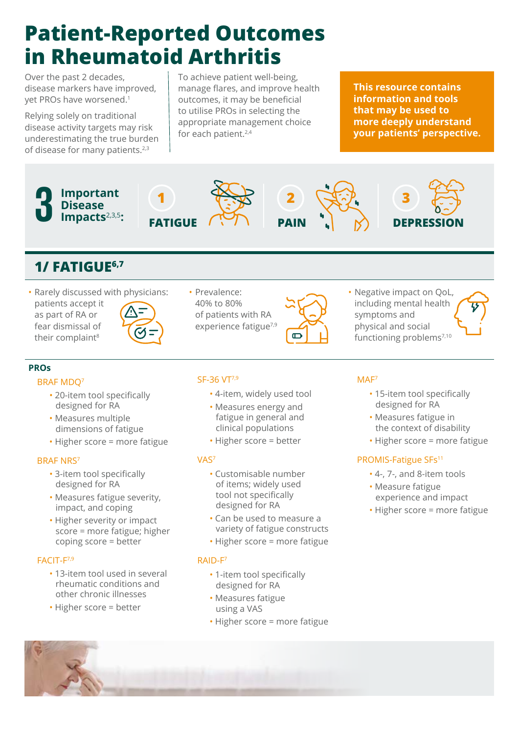# **Patient-Reported Outcomes in Rheumatoid Arthritis**

Over the past 2 decades, disease markers have improved, yet PROs have worsened.<sup>1</sup>

Relying solely on traditional disease activity targets may risk underestimating the true burden of disease for many patients.<sup>2,3</sup>

To achieve patient well-being, manage flares, and improve health outcomes, it may be beneficial to utilise PROs in selecting the appropriate management choice for each patient.<sup>2,4</sup>

**This resource contains information and tools that may be used to more deeply understand your patients' perspective.**



- 20-item tool specifically designed for RA
- Measures multiple dimensions of fatigue
- Higher score = more fatigue

#### BRAF NRS7

- 3-item tool specifically designed for RA
- Measures fatigue severity, impact, and coping
- Higher severity or impact score = more fatigue; higher coping score = better

#### FACIT-F7,9

- 13-item tool used in several rheumatic conditions and other chronic illnesses
- Higher score = better
- 4-item, widely used tool
- Measures energy and fatigue in general and clinical populations
- Higher score = better

#### VAS7

- Customisable number of items; widely used tool not specifically designed for RA
- Can be used to measure a variety of fatigue constructs
- Higher score = more fatigue

#### RAID-F7

- 1-item tool specifically designed for RA
- Measures fatigue using a VAS
- Higher score = more fatigue
- 15-item tool specifically designed for RA
- Measures fatigue in the context of disability
- Higher score = more fatigue

### PROMIS-Fatigue SFs<sup>11</sup>

- 4-, 7-, and 8-item tools
- Measure fatigue experience and impact
- Higher score = more fatigue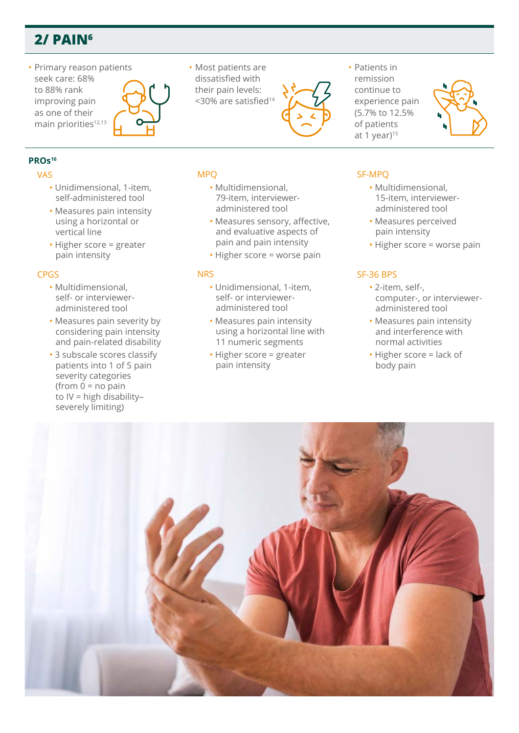# **2/ PAIN6**

• Primary reason patients seek care: 68% to 88% rank improving pain as one of their main priorities<sup>12,13</sup>



## **PROs16**

#### VAS

- Unidimensional, 1-item, self-administered tool
- Measures pain intensity using a horizontal or vertical line
- Higher score = greater pain intensity

#### CPGS

- Multidimensional, self- or intervieweradministered tool
- Measures pain severity by considering pain intensity and pain-related disability
- 3 subscale scores classify patients into 1 of 5 pain severity categories  $(from 0 = no pain)$ to IV = high disability– severely limiting)

• Most patients are dissatisfied with their pain levels: <30% are satisfied<sup>14</sup>



• Patients in remission continue to experience pain (5.7% to 12.5% of patients at 1 year)<sup>15</sup>



- Multidimensional, 79-item, intervieweradministered tool
- Measures sensory, affective, and evaluative aspects of pain and pain intensity
- Higher score = worse pain

#### **NRS**

MPQ

- Unidimensional, 1-item, self- or intervieweradministered tool
- Measures pain intensity using a horizontal line with 11 numeric segments
- Higher score = greater pain intensity

### SF-MPQ

- Multidimensional, 15-item, intervieweradministered tool
- Measures perceived pain intensity
- Higher score = worse pain

#### SF-36 BPS

- 2-item, self-, computer-, or intervieweradministered tool
- Measures pain intensity and interference with normal activities
- Higher score = lack of body pain